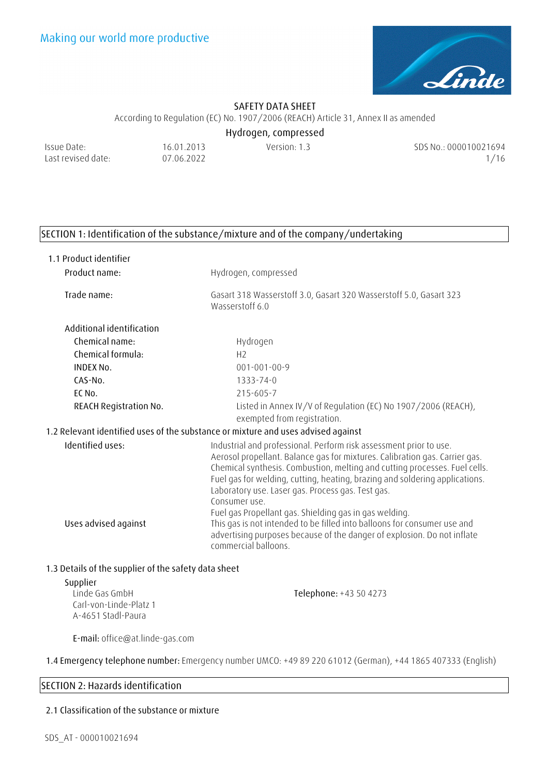

According to Regulation (EC) No. 1907/2006 (REACH) Article 31, Annex II as amended

**Hydrogen, compressed** 

Issue Date: Last revised date:

16.01.2013 07.06.2022

Version: 1.3 SDS No.: 000010021694 1/16

# **SECTION 1: Identification of the substance/mixture and of the company/undertaking**

| 1.1 Product identifier                                                            |                                                                                                                                                                                                                                                                                                                                                                                     |  |  |
|-----------------------------------------------------------------------------------|-------------------------------------------------------------------------------------------------------------------------------------------------------------------------------------------------------------------------------------------------------------------------------------------------------------------------------------------------------------------------------------|--|--|
| Product name:                                                                     | Hydrogen, compressed                                                                                                                                                                                                                                                                                                                                                                |  |  |
| Trade name:                                                                       | Gasart 318 Wasserstoff 3.0, Gasart 320 Wasserstoff 5.0, Gasart 323<br>Wasserstoff 6.0                                                                                                                                                                                                                                                                                               |  |  |
| Additional identification                                                         |                                                                                                                                                                                                                                                                                                                                                                                     |  |  |
| Chemical name:                                                                    | Hydrogen                                                                                                                                                                                                                                                                                                                                                                            |  |  |
| Chemical formula:                                                                 | H <sub>2</sub>                                                                                                                                                                                                                                                                                                                                                                      |  |  |
| <b>INDEX No.</b>                                                                  | $001 - 001 - 00 - 9$                                                                                                                                                                                                                                                                                                                                                                |  |  |
| $CAS-NO.$                                                                         | 1333-74-0                                                                                                                                                                                                                                                                                                                                                                           |  |  |
| EC No.                                                                            | 215-605-7                                                                                                                                                                                                                                                                                                                                                                           |  |  |
| <b>REACH Registration No.</b>                                                     | Listed in Annex IV/V of Regulation (EC) No 1907/2006 (REACH),<br>exempted from registration.                                                                                                                                                                                                                                                                                        |  |  |
| 1.2 Relevant identified uses of the substance or mixture and uses advised against |                                                                                                                                                                                                                                                                                                                                                                                     |  |  |
| Identified uses:                                                                  | Industrial and professional. Perform risk assessment prior to use.<br>Aerosol propellant. Balance gas for mixtures. Calibration gas. Carrier gas.<br>Chemical synthesis. Combustion, melting and cutting processes. Fuel cells.<br>Fuel gas for welding, cutting, heating, brazing and soldering applications.<br>Laboratory use. Laser gas. Process gas. Test gas.<br>Consumer use |  |  |
|                                                                                   | Fuel gas Propellant gas. Shielding gas in gas welding.                                                                                                                                                                                                                                                                                                                              |  |  |
| Uses advised against                                                              | This gas is not intended to be filled into balloons for consumer use and<br>advertising purposes because of the danger of explosion. Do not inflate<br>commercial balloons.                                                                                                                                                                                                         |  |  |

### **1.3 Details of the supplier of the safety data sheet**

### **Supplier**

Linde Gas GmbH Carl-von-Linde-Platz 1 A-4651 Stadl-Paura **Telephone:** +43 50 4273

**E-mail:** office@at.linde-gas.com

**1.4 Emergency telephone number:** Emergency number UMCO: +49 89 220 61012 (German), +44 1865 407333 (English)

## **SECTION 2: Hazards identification**

### **2.1 Classification of the substance or mixture**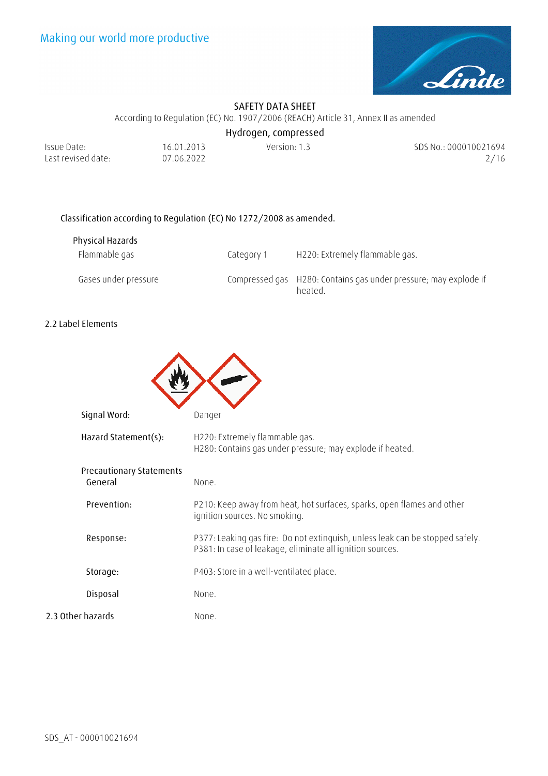

According to Regulation (EC) No. 1907/2006 (REACH) Article 31, Annex II as amended

**Hydrogen, compressed** 

| Issue Date:        | 16.01.2013 | Version: 1.3 | SDS No.: 000010021694 |
|--------------------|------------|--------------|-----------------------|
| Last revised date: | 07.06.2022 |              | 2/16                  |

# **Classification according to Regulation (EC) No 1272/2008 as amended.**

| Physical Hazards     |            |                                                                             |
|----------------------|------------|-----------------------------------------------------------------------------|
| Flammable gas        | Category 1 | H220: Extremely flammable gas.                                              |
| Gases under pressure |            | Compressed gas H280: Contains gas under pressure; may explode if<br>heated. |

### **2.2 Label Elements**

| Signal Word:                               | Danger                                                                                                                                     |
|--------------------------------------------|--------------------------------------------------------------------------------------------------------------------------------------------|
| Hazard Statement(s):                       | H220: Extremely flammable gas.<br>H280: Contains gas under pressure; may explode if heated.                                                |
| <b>Precautionary Statements</b><br>General | None.                                                                                                                                      |
| Prevention:                                | P210: Keep away from heat, hot surfaces, sparks, open flames and other<br>ignition sources. No smoking.                                    |
| Response:                                  | P377: Leaking gas fire: Do not extinguish, unless leak can be stopped safely.<br>P381: In case of leakage, eliminate all ignition sources. |
| Storage:                                   | P403: Store in a well-ventilated place.                                                                                                    |
| Disposal                                   | None.                                                                                                                                      |
| 2.3 Other hazards                          | None.                                                                                                                                      |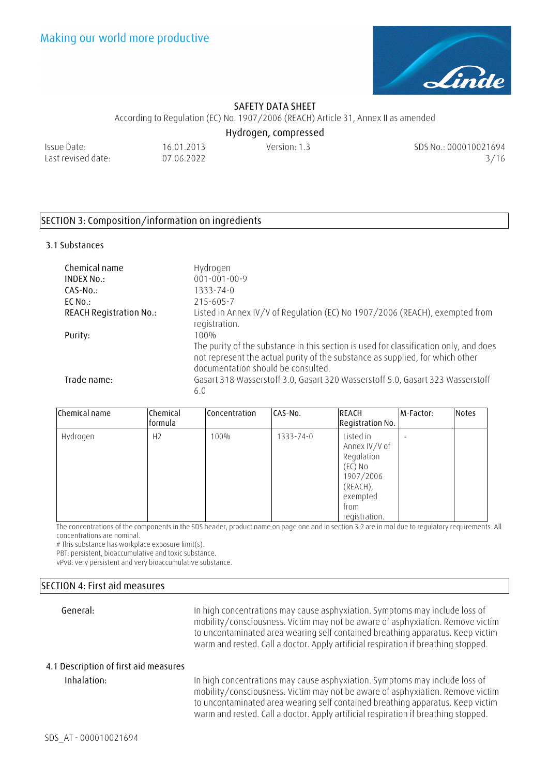

According to Regulation (EC) No. 1907/2006 (REACH) Article 31, Annex II as amended

**Hydrogen, compressed** 

Issue Date: Last revised date:

16.01.2013 07.06.2022

Version: 1.3 SDS No.: 000010021694 3/16

## **SECTION 3: Composition/information on ingredients**

#### **3.1 Substances**

| Chemical name<br>INDEX No.:<br>$CAS-No.$ | Hydrogen<br>$001 - 001 - 00 - 9$<br>$1333 - 74 - 0$                                                                                                                                                          |
|------------------------------------------|--------------------------------------------------------------------------------------------------------------------------------------------------------------------------------------------------------------|
| $EC$ No.:                                | 215-605-7                                                                                                                                                                                                    |
| <b>REACH Registration No.:</b>           | Listed in Annex IV/V of Regulation (EC) No 1907/2006 (REACH), exempted from                                                                                                                                  |
|                                          | registration.                                                                                                                                                                                                |
| Purity:                                  | $100\%$                                                                                                                                                                                                      |
|                                          | The purity of the substance in this section is used for classification only, and does<br>not represent the actual purity of the substance as supplied, for which other<br>documentation should be consulted. |
| Trade name:                              | Gasart 318 Wasserstoff 3.0, Gasart 320 Wasserstoff 5.0, Gasart 323 Wasserstoff<br>6.0                                                                                                                        |

| Chemical name | Chemical<br>formula | Concentration | CAS-No.   | REACH<br>Registration No.                                                                                         | M-Factor: | <b>Notes</b> |
|---------------|---------------------|---------------|-----------|-------------------------------------------------------------------------------------------------------------------|-----------|--------------|
| Hydrogen      | H2                  | 100%          | 1333-74-0 | Listed in<br>Annex IV/V of<br>Regulation<br>(EC) No<br>1907/2006<br>(REACH),<br>exempted<br>from<br>registration. |           |              |

The concentrations of the components in the SDS header, product name on page one and in section 3.2 are in mol due to regulatory requirements. All concentrations are nominal.

# This substance has workplace exposure limit(s).

PBT: persistent, bioaccumulative and toxic substance.

vPvB: very persistent and very bioaccumulative substance.

### **SECTION 4: First aid measures**

**General:** In high concentrations may cause asphyxiation. Symptoms may include loss of mobility/consciousness. Victim may not be aware of asphyxiation. Remove victim to uncontaminated area wearing self contained breathing apparatus. Keep victim warm and rested. Call a doctor. Apply artificial respiration if breathing stopped.

### **4.1 Description of first aid measures**

**Inhalation:** In high concentrations may cause asphyxiation. Symptoms may include loss of mobility/consciousness. Victim may not be aware of asphyxiation. Remove victim to uncontaminated area wearing self contained breathing apparatus. Keep victim warm and rested. Call a doctor. Apply artificial respiration if breathing stopped.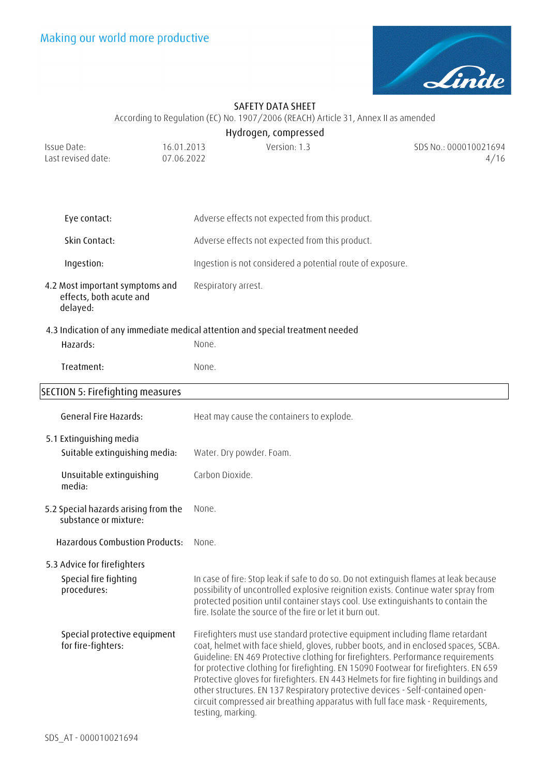

**Hydrogen, compressed** 

According to Regulation (EC) No. 1907/2006 (REACH) Article 31, Annex II as amended

| Issue Date:<br>Last revised date:                                      | 16.01.2013<br>07.06.2022 | Version: 1.3                                                                   | SDS No.: 000010021694<br>4/16                                                                                                                                                                                                                                                                                                                                                                                                                                                                                                                                                                                |
|------------------------------------------------------------------------|--------------------------|--------------------------------------------------------------------------------|--------------------------------------------------------------------------------------------------------------------------------------------------------------------------------------------------------------------------------------------------------------------------------------------------------------------------------------------------------------------------------------------------------------------------------------------------------------------------------------------------------------------------------------------------------------------------------------------------------------|
|                                                                        |                          |                                                                                |                                                                                                                                                                                                                                                                                                                                                                                                                                                                                                                                                                                                              |
| Eye contact:                                                           |                          | Adverse effects not expected from this product.                                |                                                                                                                                                                                                                                                                                                                                                                                                                                                                                                                                                                                                              |
| Skin Contact:                                                          |                          | Adverse effects not expected from this product.                                |                                                                                                                                                                                                                                                                                                                                                                                                                                                                                                                                                                                                              |
| Ingestion:                                                             |                          | Ingestion is not considered a potential route of exposure.                     |                                                                                                                                                                                                                                                                                                                                                                                                                                                                                                                                                                                                              |
| 4.2 Most important symptoms and<br>effects, both acute and<br>delayed: | Respiratory arrest.      |                                                                                |                                                                                                                                                                                                                                                                                                                                                                                                                                                                                                                                                                                                              |
| Hazards:                                                               | None.                    | 4.3 Indication of any immediate medical attention and special treatment needed |                                                                                                                                                                                                                                                                                                                                                                                                                                                                                                                                                                                                              |
| Treatment:                                                             | None.                    |                                                                                |                                                                                                                                                                                                                                                                                                                                                                                                                                                                                                                                                                                                              |
| <b>SECTION 5: Firefighting measures</b>                                |                          |                                                                                |                                                                                                                                                                                                                                                                                                                                                                                                                                                                                                                                                                                                              |
| <b>General Fire Hazards:</b>                                           |                          | Heat may cause the containers to explode.                                      |                                                                                                                                                                                                                                                                                                                                                                                                                                                                                                                                                                                                              |
| 5.1 Extinguishing media<br>Suitable extinguishing media:               |                          | Water. Dry powder. Foam.                                                       |                                                                                                                                                                                                                                                                                                                                                                                                                                                                                                                                                                                                              |
| Unsuitable extinguishing<br>media:                                     | Carbon Dioxide.          |                                                                                |                                                                                                                                                                                                                                                                                                                                                                                                                                                                                                                                                                                                              |
| 5.2 Special hazards arising from the<br>substance or mixture:          | None.                    |                                                                                |                                                                                                                                                                                                                                                                                                                                                                                                                                                                                                                                                                                                              |
| Hazardous Combustion Products:                                         | None.                    |                                                                                |                                                                                                                                                                                                                                                                                                                                                                                                                                                                                                                                                                                                              |
| 5.3 Advice for firefighters<br>Special fire fighting<br>procedures:    |                          | fire. Isolate the source of the fire or let it burn out.                       | In case of fire: Stop leak if safe to do so. Do not extinguish flames at leak because<br>possibility of uncontrolled explosive reignition exists. Continue water spray from<br>protected position until container stays cool. Use extinguishants to contain the                                                                                                                                                                                                                                                                                                                                              |
| Special protective equipment<br>for fire-fighters:                     |                          |                                                                                | Firefighters must use standard protective equipment including flame retardant<br>coat, helmet with face shield, gloves, rubber boots, and in enclosed spaces, SCBA.<br>Guideline: EN 469 Protective clothing for firefighters. Performance requirements<br>for protective clothing for firefighting. EN 15090 Footwear for firefighters. EN 659<br>Protective gloves for firefighters. EN 443 Helmets for fire fighting in buildings and<br>other structures. EN 137 Respiratory protective devices - Self-contained open-<br>circuit compressed air breathing apparatus with full face mask - Requirements, |

testing, marking.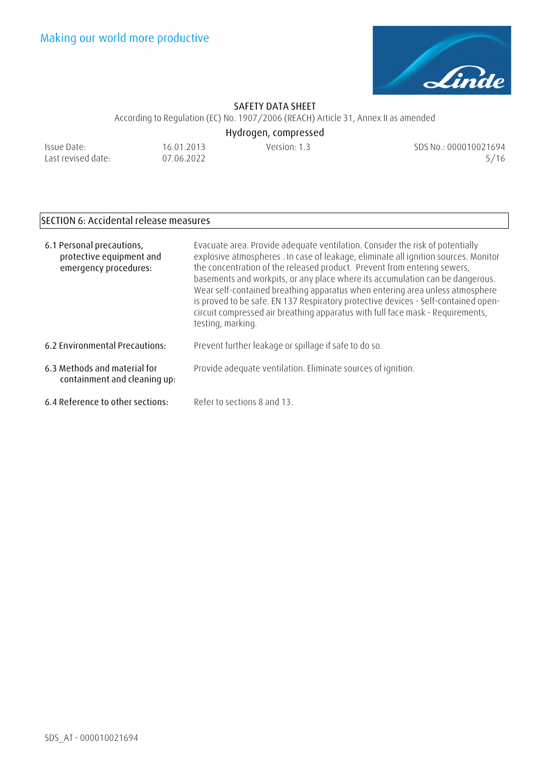

According to Regulation (EC) No. 1907/2006 (REACH) Article 31, Annex II as amended **Hydrogen, compressed** 

| Issue Date:        |  |
|--------------------|--|
| Last revised date: |  |

16.01.2013 07.06.2022

Version: 1.3 SDS No.: 000010021694 5/16

# **SECTION 6: Accidental release measures**

| 6.1 Personal precautions,<br>protective equipment and<br>emergency procedures: | Evacuate area. Provide adequate ventilation. Consider the risk of potentially<br>explosive atmospheres . In case of leakage, eliminate all ignition sources. Monitor<br>the concentration of the released product. Prevent from entering sewers,<br>basements and workpits, or any place where its accumulation can be dangerous.<br>Wear self-contained breathing apparatus when entering area unless atmosphere<br>is proved to be safe. EN 137 Respiratory protective devices - Self-contained open-<br>circuit compressed air breathing apparatus with full face mask - Requirements,<br>testing, marking. |
|--------------------------------------------------------------------------------|----------------------------------------------------------------------------------------------------------------------------------------------------------------------------------------------------------------------------------------------------------------------------------------------------------------------------------------------------------------------------------------------------------------------------------------------------------------------------------------------------------------------------------------------------------------------------------------------------------------|
| 6.2 Environmental Precautions:                                                 | Prevent further leakage or spillage if safe to do so.                                                                                                                                                                                                                                                                                                                                                                                                                                                                                                                                                          |
| 6.3 Methods and material for<br>containment and cleaning up:                   | Provide adequate ventilation. Eliminate sources of ignition.                                                                                                                                                                                                                                                                                                                                                                                                                                                                                                                                                   |
| 6.4 Reference to other sections:                                               | Refer to sections 8 and 13.                                                                                                                                                                                                                                                                                                                                                                                                                                                                                                                                                                                    |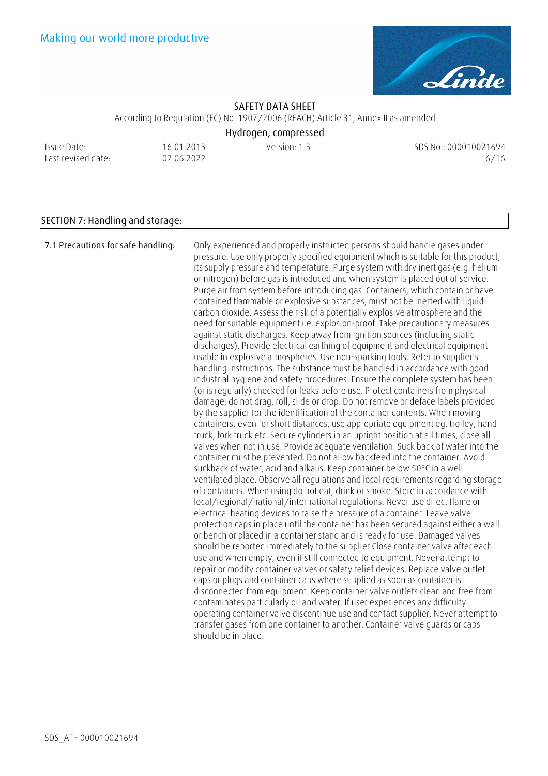

According to Regulation (EC) No. 1907/2006 (REACH) Article 31, Annex II as amended

**Hydrogen, compressed** 

Issue Date: Last revised date: 16.01.2013 07.06.2022

Version: 1.3 SDS No.: 000010021694 6/16

## **SECTION 7: Handling and storage:**

**7.1 Precautions for safe handling:** Only experienced and properly instructed persons should handle gases under pressure. Use only properly specified equipment which is suitable for this product, its supply pressure and temperature. Purge system with dry inert gas (e.g. helium or nitrogen) before gas is introduced and when system is placed out of service. Purge air from system before introducing gas. Containers, which contain or have contained flammable or explosive substances, must not be inerted with liquid carbon dioxide. Assess the risk of a potentially explosive atmosphere and the need for suitable equipment i.e. explosion-proof. Take precautionary measures against static discharges. Keep away from ignition sources (including static discharges). Provide electrical earthing of equipment and electrical equipment usable in explosive atmospheres. Use non-sparking tools. Refer to supplier's handling instructions. The substance must be handled in accordance with good industrial hygiene and safety procedures. Ensure the complete system has been (or is regularly) checked for leaks before use. Protect containers from physical damage; do not drag, roll, slide or drop. Do not remove or deface labels provided by the supplier for the identification of the container contents. When moving containers, even for short distances, use appropriate equipment eg. trolley, hand truck, fork truck etc. Secure cylinders in an upright position at all times, close all valves when not in use. Provide adequate ventilation. Suck back of water into the container must be prevented. Do not allow backfeed into the container. Avoid suckback of water, acid and alkalis. Keep container below 50°C in a well ventilated place. Observe all regulations and local requirements regarding storage of containers. When using do not eat, drink or smoke. Store in accordance with local/regional/national/international regulations. Never use direct flame or electrical heating devices to raise the pressure of a container. Leave valve protection caps in place until the container has been secured against either a wall or bench or placed in a container stand and is ready for use. Damaged valves should be reported immediately to the supplier Close container valve after each use and when empty, even if still connected to equipment. Never attempt to repair or modify container valves or safety relief devices. Replace valve outlet caps or plugs and container caps where supplied as soon as container is disconnected from equipment. Keep container valve outlets clean and free from contaminates particularly oil and water. If user experiences any difficulty operating container valve discontinue use and contact supplier. Never attempt to transfer gases from one container to another. Container valve guards or caps should be in place.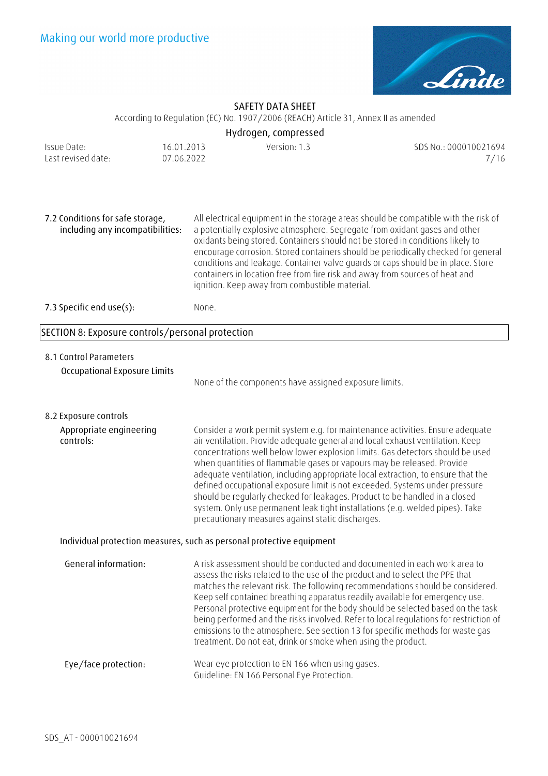

According to Regulation (EC) No. 1907/2006 (REACH) Article 31, Annex II as amended

# **Hydrogen, compressed**

| Issue Date:        | 16.01.2013 | Version: 1.3 | SDS No.: 000010021694 |
|--------------------|------------|--------------|-----------------------|
| Last revised date: | 07.06.2022 |              | 7/16                  |

**7.2 Conditions for safe storage, including any incompatibilities:**  All electrical equipment in the storage areas should be compatible with the risk of a potentially explosive atmosphere. Segregate from oxidant gases and other oxidants being stored. Containers should not be stored in conditions likely to encourage corrosion. Stored containers should be periodically checked for general conditions and leakage. Container valve guards or caps should be in place. Store containers in location free from fire risk and away from sources of heat and ignition. Keep away from combustible material. **7.3 Specific end use(s):** None.

### **SECTION 8: Exposure controls/personal protection**

### **8.1 Control Parameters**

**Occupational Exposure Limits** 

None of the components have assigned exposure limits.

**8.2 Exposure controls**

**Appropriate engineering controls:**  Consider a work permit system e.g. for maintenance activities. Ensure adequate air ventilation. Provide adequate general and local exhaust ventilation. Keep concentrations well below lower explosion limits. Gas detectors should be used when quantities of flammable gases or vapours may be released. Provide adequate ventilation, including appropriate local extraction, to ensure that the defined occupational exposure limit is not exceeded. Systems under pressure should be regularly checked for leakages. Product to be handled in a closed system. Only use permanent leak tight installations (e.g. welded pipes). Take precautionary measures against static discharges.

### **Individual protection measures, such as personal protective equipment**

**General information:** A risk assessment should be conducted and documented in each work area to assess the risks related to the use of the product and to select the PPE that matches the relevant risk. The following recommendations should be considered. Keep self contained breathing apparatus readily available for emergency use. Personal protective equipment for the body should be selected based on the task being performed and the risks involved. Refer to local regulations for restriction of emissions to the atmosphere. See section 13 for specific methods for waste gas treatment. Do not eat, drink or smoke when using the product. **Eye/face protection:** Wear eye protection to EN 166 when using gases. Guideline: EN 166 Personal Eye Protection.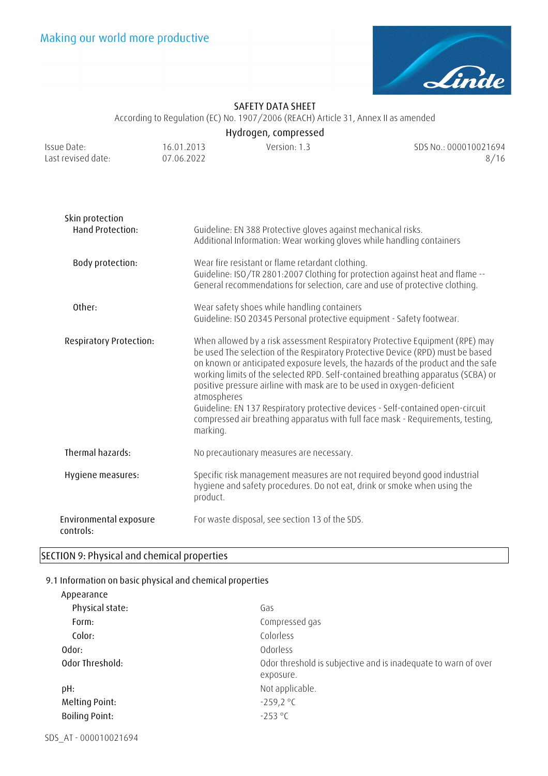

According to Regulation (EC) No. 1907/2006 (REACH) Article 31, Annex II as amended

| Hydrogen, compressed |  |
|----------------------|--|
|----------------------|--|

| Issue Date:        | 16.01.2013 | Version: 1.3 | SDS No.: 000010021694 |
|--------------------|------------|--------------|-----------------------|
| Last revised date: | 07.06.2022 |              | 8/16                  |

| Skin protection<br>Hand Protection: | Guideline: EN 388 Protective gloves against mechanical risks.<br>Additional Information: Wear working gloves while handling containers                                                                                                                                                                                                                                                                                                                                                                                                                                                                           |  |
|-------------------------------------|------------------------------------------------------------------------------------------------------------------------------------------------------------------------------------------------------------------------------------------------------------------------------------------------------------------------------------------------------------------------------------------------------------------------------------------------------------------------------------------------------------------------------------------------------------------------------------------------------------------|--|
| Body protection:                    | Wear fire resistant or flame retardant clothing.<br>Guideline: ISO/TR 2801:2007 Clothing for protection against heat and flame --<br>General recommendations for selection, care and use of protective clothing.                                                                                                                                                                                                                                                                                                                                                                                                 |  |
| Other:                              | Wear safety shoes while handling containers<br>Guideline: ISO 20345 Personal protective equipment - Safety footwear.                                                                                                                                                                                                                                                                                                                                                                                                                                                                                             |  |
| <b>Respiratory Protection:</b>      | When allowed by a risk assessment Respiratory Protective Equipment (RPE) may<br>be used The selection of the Respiratory Protective Device (RPD) must be based<br>on known or anticipated exposure levels, the hazards of the product and the safe<br>working limits of the selected RPD. Self-contained breathing apparatus (SCBA) or<br>positive pressure airline with mask are to be used in oxygen-deficient<br>atmospheres<br>Guideline: EN 137 Respiratory protective devices - Self-contained open-circuit<br>compressed air breathing apparatus with full face mask - Requirements, testing,<br>marking. |  |
| Thermal hazards:                    | No precautionary measures are necessary.                                                                                                                                                                                                                                                                                                                                                                                                                                                                                                                                                                         |  |
| Hygiene measures:                   | Specific risk management measures are not required beyond good industrial<br>hygiene and safety procedures. Do not eat, drink or smoke when using the<br>product.                                                                                                                                                                                                                                                                                                                                                                                                                                                |  |
| Environmental exposure<br>controls: | For waste disposal, see section 13 of the SDS.                                                                                                                                                                                                                                                                                                                                                                                                                                                                                                                                                                   |  |

# **SECTION 9: Physical and chemical properties**

### **9.1 Information on basic physical and chemical properties**

| Appearance            |                                                                             |
|-----------------------|-----------------------------------------------------------------------------|
| Physical state:       | Gas                                                                         |
| Form:                 | Compressed gas                                                              |
| Color:                | Colorless                                                                   |
| Odor:                 | Odorless                                                                    |
| Odor Threshold:       | Odor threshold is subjective and is inadequate to warn of over<br>exposure. |
| pH:                   | Not applicable.                                                             |
| Melting Point:        | $-259,2$ °C                                                                 |
| <b>Boiling Point:</b> | $-253 °C$                                                                   |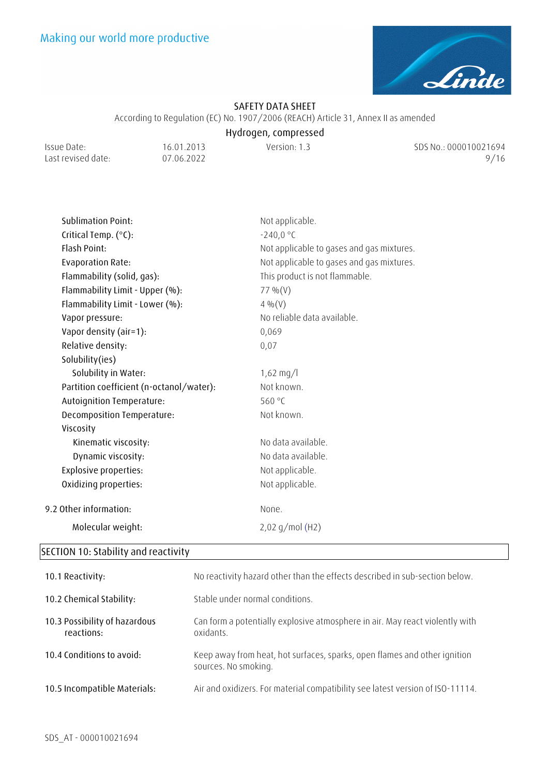

According to Regulation (EC) No. 1907/2006 (REACH) Article 31, Annex II as amended

# **Hydrogen, compressed**

Issue Date: Last revised date: 16.01.2013 07.06.2022

Version: 1.3 SDS No.: 000010021694 9/16

| <b>Sublimation Point:</b>                | Not applicable.                           |
|------------------------------------------|-------------------------------------------|
| Critical Temp. (°C):                     | $-240,0 °C$                               |
| Flash Point:                             | Not applicable to gases and gas mixtures. |
| <b>Evaporation Rate:</b>                 | Not applicable to gases and gas mixtures. |
| Flammability (solid, gas):               | This product is not flammable.            |
| Flammability Limit - Upper (%):          | 77 % $(V)$                                |
| Flammability Limit - Lower (%):          | 4 % (V)                                   |
| Vapor pressure:                          | No reliable data available.               |
| Vapor density (air=1):                   | 0,069                                     |
| Relative density:                        | 0,07                                      |
| Solubility(ies)                          |                                           |
| Solubility in Water:                     | $1,62 \text{ mg/l}$                       |
| Partition coefficient (n-octanol/water): | Not known.                                |
| Autoignition Temperature:                | 560 °C                                    |
| Decomposition Temperature:               | Not known.                                |
| Viscosity                                |                                           |
| Kinematic viscosity:                     | No data available.                        |
| Dynamic viscosity:                       | No data available.                        |
| <b>Explosive properties:</b>             | Not applicable.                           |
| Oxidizing properties:                    | Not applicable.                           |
| 9.2 Other information:                   | None.                                     |
| Molecular weight:                        | $2,02$ g/mol (H2)                         |
|                                          |                                           |

# **SECTION 10: Stability and reactivity**

| 10.1 Reactivity:                            | No reactivity hazard other than the effects described in sub-section below.                       |
|---------------------------------------------|---------------------------------------------------------------------------------------------------|
| 10.2 Chemical Stability:                    | Stable under normal conditions.                                                                   |
| 10.3 Possibility of hazardous<br>reactions: | Can form a potentially explosive atmosphere in air. May react violently with<br>oxidants.         |
| 10.4 Conditions to avoid:                   | Keep away from heat, hot surfaces, sparks, open flames and other ignition<br>sources. No smoking. |
| 10.5 Incompatible Materials:                | Air and oxidizers. For material compatibility see latest version of ISO-11114.                    |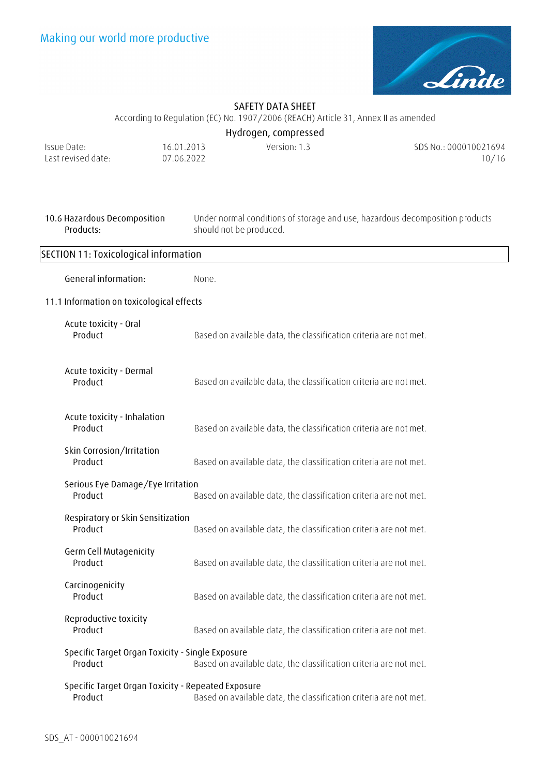

According to Regulation (EC) No. 1907/2006 (REACH) Article 31, Annex II as amended

| Hydrogen, compressed |            |              |                       |
|----------------------|------------|--------------|-----------------------|
| Issue Date:          | 16.01.2013 | Version: 1.3 | SDS No.: 000010021694 |
| Last revised date:   | 07.06.2022 |              | 10/16                 |

| 10.6 Hazardous Decomposition<br>Products:                                                                         | Under normal conditions of storage and use, hazardous decomposition products<br>should not be produced. |  |
|-------------------------------------------------------------------------------------------------------------------|---------------------------------------------------------------------------------------------------------|--|
| SECTION 11: Toxicological information                                                                             |                                                                                                         |  |
| General information:                                                                                              | None.                                                                                                   |  |
| 11.1 Information on toxicological effects                                                                         |                                                                                                         |  |
| Acute toxicity - Oral<br>Product                                                                                  | Based on available data, the classification criteria are not met.                                       |  |
| Acute toxicity - Dermal<br>Product                                                                                | Based on available data, the classification criteria are not met.                                       |  |
| Acute toxicity - Inhalation<br>Product                                                                            | Based on available data, the classification criteria are not met.                                       |  |
| Skin Corrosion/Irritation<br>Product                                                                              | Based on available data, the classification criteria are not met.                                       |  |
| Serious Eye Damage/Eye Irritation<br>Product<br>Based on available data, the classification criteria are not met. |                                                                                                         |  |
| Respiratory or Skin Sensitization<br>Product                                                                      | Based on available data, the classification criteria are not met.                                       |  |
| Germ Cell Mutagenicity<br>Product                                                                                 | Based on available data, the classification criteria are not met.                                       |  |
| Carcinogenicity<br>Product                                                                                        | Based on available data, the classification criteria are not met.                                       |  |
| Reproductive toxicity<br>Product                                                                                  | Based on available data, the classification criteria are not met.                                       |  |
| Specific Target Organ Toxicity - Single Exposure<br>Product                                                       | Based on available data, the classification criteria are not met.                                       |  |
| Specific Target Organ Toxicity - Repeated Exposure<br>Product                                                     | Based on available data, the classification criteria are not met.                                       |  |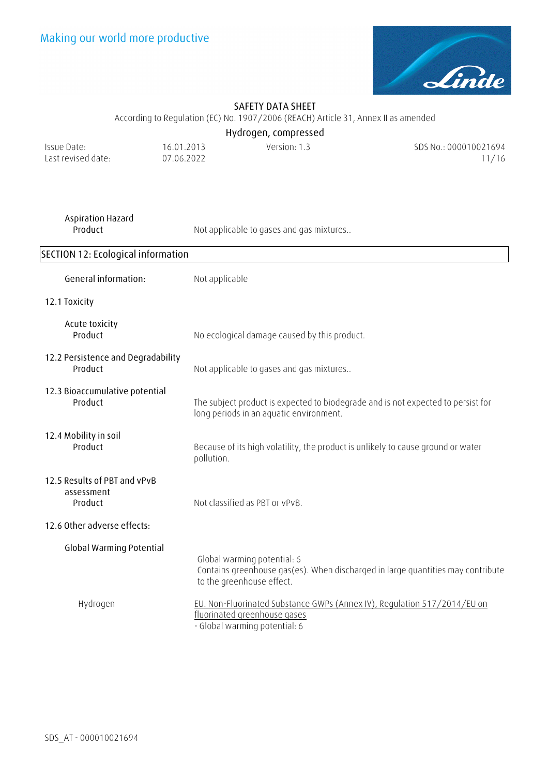

According to Regulation (EC) No. 1907/2006 (REACH) Article 31, Annex II as amended

**Hydrogen, compressed** 

| Issue Date:        | 16.01.2013 | Version: 1.3 | SDS No.: 000010021694 |
|--------------------|------------|--------------|-----------------------|
| Last revised date: | 07.06.2022 |              | 11/16                 |

| Aspiration Hazard |  |
|-------------------|--|
| Product           |  |

Not applicable to gases and gas mixtures..

| SECTION 12: Ecological information                    |                                                                                                                                             |  |  |
|-------------------------------------------------------|---------------------------------------------------------------------------------------------------------------------------------------------|--|--|
| General information:                                  | Not applicable                                                                                                                              |  |  |
| 12.1 Toxicity                                         |                                                                                                                                             |  |  |
| Acute toxicity<br>Product                             | No ecological damage caused by this product.                                                                                                |  |  |
| 12.2 Persistence and Degradability<br>Product         | Not applicable to gases and gas mixtures                                                                                                    |  |  |
| 12.3 Bioaccumulative potential<br>Product             | The subject product is expected to biodegrade and is not expected to persist for<br>long periods in an aquatic environment.                 |  |  |
| 12.4 Mobility in soil<br>Product                      | Because of its high volatility, the product is unlikely to cause ground or water<br>pollution.                                              |  |  |
| 12.5 Results of PBT and vPvB<br>assessment<br>Product | Not classified as PBT or vPvB.                                                                                                              |  |  |
| 12.6 Other adverse effects:                           |                                                                                                                                             |  |  |
| <b>Global Warming Potential</b>                       | Global warming potential: 6<br>Contains greenhouse gas(es). When discharged in large quantities may contribute<br>to the greenhouse effect. |  |  |
| Hydrogen                                              | EU. Non-Fluorinated Substance GWPs (Annex IV), Regulation 517/2014/EU on<br>fluorinated greenhouse gases<br>- Global warming potential: 6   |  |  |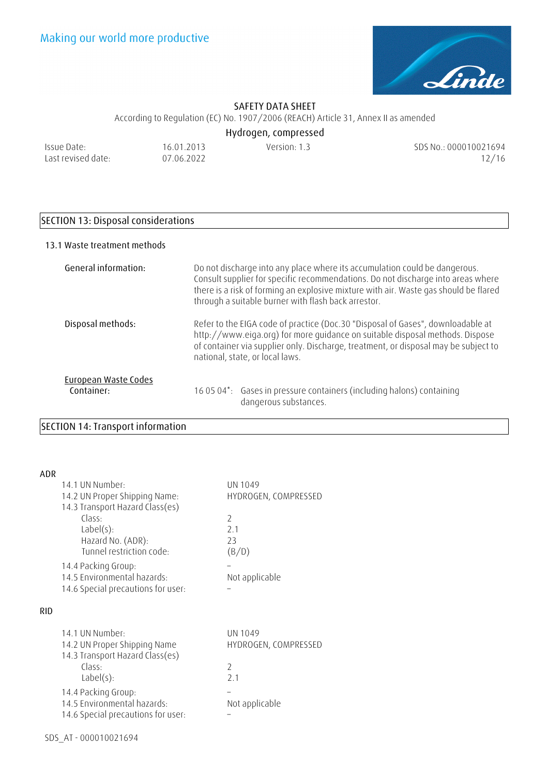

According to Regulation (EC) No. 1907/2006 (REACH) Article 31, Annex II as amended

| Issue Date:        |  |
|--------------------|--|
| Last revised date: |  |

16.01.2013 07.06.2022

**Hydrogen, compressed** 

Version: 1.3 SDS No.: 000010021694 12/16

# **SECTION 13: Disposal considerations**

### **13.1 Waste treatment methods**

| General information:               | Do not discharge into any place where its accumulation could be dangerous.<br>Consult supplier for specific recommendations. Do not discharge into areas where<br>there is a risk of forming an explosive mixture with air. Waste gas should be flared<br>through a suitable burner with flash back arrestor. |
|------------------------------------|---------------------------------------------------------------------------------------------------------------------------------------------------------------------------------------------------------------------------------------------------------------------------------------------------------------|
| Disposal methods:                  | Refer to the EIGA code of practice (Doc.30 "Disposal of Gases", downloadable at<br>http://www.eiga.org) for more guidance on suitable disposal methods. Dispose<br>of container via supplier only. Discharge, treatment, or disposal may be subject to<br>national, state, or local laws.                     |
| European Waste Codes<br>Container: | 16 05 04*: Gases in pressure containers (including halons) containing<br>dangerous substances.                                                                                                                                                                                                                |

# **SECTION 14: Transport information**

| ADR        |                                    |                      |
|------------|------------------------------------|----------------------|
|            | 14.1 UN Number:                    | UN 1049              |
|            | 14.2 UN Proper Shipping Name:      | HYDROGEN, COMPRESSED |
|            | 14.3 Transport Hazard Class(es)    |                      |
|            | Class:                             | $\overline{2}$       |
|            | $Label(s)$ :                       | 2 <sub>1</sub>       |
|            | Hazard No. (ADR):                  | 23                   |
|            | Tunnel restriction code:           | (B/D)                |
|            | 14.4 Packing Group:                |                      |
|            | 14.5 Environmental hazards:        | Not applicable       |
|            | 14.6 Special precautions for user: |                      |
|            |                                    |                      |
| <b>RID</b> |                                    |                      |
|            | 14.1 UN Number:                    | UN 1049              |
|            |                                    |                      |

|                                    | . <i>. .</i>         |
|------------------------------------|----------------------|
| 14.2 UN Proper Shipping Name       | HYDROGEN, COMPRESSED |
| 14.3 Transport Hazard Class(es)    |                      |
| Class:                             |                      |
| Label(s):                          | 2 <sub>1</sub>       |
| 14.4 Packing Group:                |                      |
| 14.5 Environmental hazards:        | Not applicable       |
| 14.6 Special precautions for user: |                      |
|                                    |                      |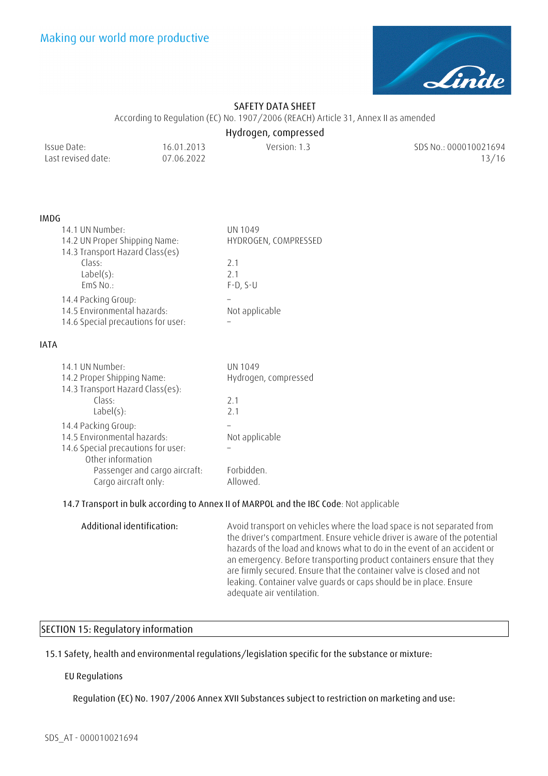

According to Regulation (EC) No. 1907/2006 (REACH) Article 31, Annex II as amended

### **Hydrogen, compressed**

| Issue Date:        | 16.01.2013 | Version: 1.3 | SDS No.: 000010021694 |
|--------------------|------------|--------------|-----------------------|
| Last revised date: | 07.06.2022 |              | 13/16                 |

#### **IMDG**

| 14.1 UN Number:                    | UN 1049              |
|------------------------------------|----------------------|
| 14.2 UN Proper Shipping Name:      | HYDROGEN, COMPRESSED |
| 14.3 Transport Hazard Class(es)    |                      |
| Class:                             | 2.1                  |
| $Label(s)$ :                       | 21                   |
| EmS No.:                           | $F-D, S-U$           |
| 14.4 Packing Group:                |                      |
| 14.5 Environmental hazards:        | Not applicable       |
| 14.6 Special precautions for user: |                      |

#### **IATA**

| 14.1 UN Number:<br>14.2 Proper Shipping Name:                                                                 | UN 1049<br>Hydrogen, compressed |
|---------------------------------------------------------------------------------------------------------------|---------------------------------|
| 14.3 Transport Hazard Class(es):<br>Class:                                                                    | 2 <sub>1</sub>                  |
| $Label(s)$ :                                                                                                  | 2 <sub>1</sub>                  |
| 14.4 Packing Group:<br>14.5 Environmental hazards:<br>14.6 Special precautions for user:<br>Other information | Not applicable                  |
| Passenger and cargo aircraft:<br>Cargo aircraft only:                                                         | Forbidden.<br>Allowed.          |

### **14.7 Transport in bulk according to Annex II of MARPOL and the IBC Code**: Not applicable

**Additional identification:** Avoid transport on vehicles where the load space is not separated from the driver's compartment. Ensure vehicle driver is aware of the potential hazards of the load and knows what to do in the event of an accident or an emergency. Before transporting product containers ensure that they are firmly secured. Ensure that the container valve is closed and not leaking. Container valve guards or caps should be in place. Ensure adequate air ventilation.

## **SECTION 15: Regulatory information**

**15.1 Safety, health and environmental regulations/legislation specific for the substance or mixture:**

### **EU Regulations**

**Regulation (EC) No. 1907/2006 Annex XVII Substances subject to restriction on marketing and use:**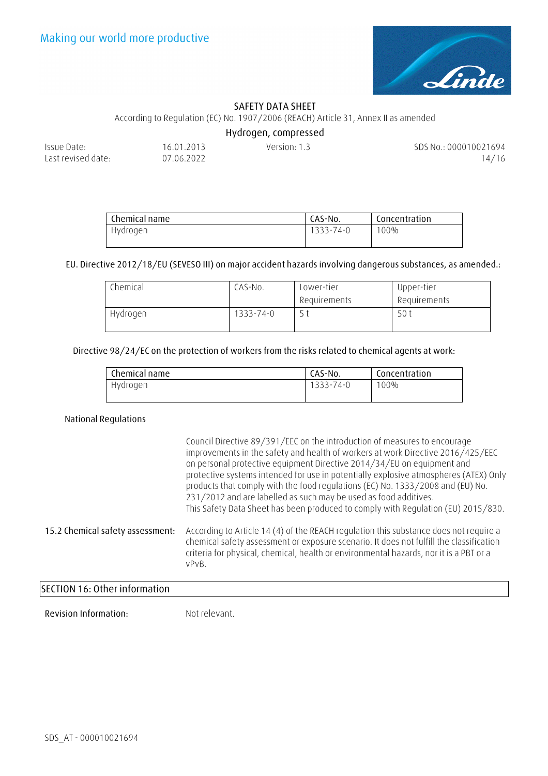

According to Regulation (EC) No. 1907/2006 (REACH) Article 31, Annex II as amended

**Hydrogen, compressed** 

| Issue Date:        | 16.01.2013 | Version: 1.3 | SDS No.: 000010021694 |
|--------------------|------------|--------------|-----------------------|
| Last revised date: | 07.06.2022 |              | 14/16                 |
|                    |            |              |                       |

| Chemical name | CAS-No.   | Concentration |
|---------------|-----------|---------------|
| Hydrogen      | 1333-74-0 | 100%          |

**EU. Directive 2012/18/EU (SEVESO III) on major accident hazards involving dangerous substances, as amended.:**

| Chemical | CAS-No.   | Lower-tier   | Upper-tier   |
|----------|-----------|--------------|--------------|
|          |           | Requirements | Requirements |
| Hydrogen | 1333-74-0 |              | 50 i         |

### **Directive 98/24/EC on the protection of workers from the risks related to chemical agents at work:**

| Concentration     |
|-------------------|
| 1333-74-0<br>100% |
|                   |

### **National Regulations**

|                                  | Council Directive 89/391/EEC on the introduction of measures to encourage<br>improvements in the safety and health of workers at work Directive 2016/425/EEC<br>on personal protective equipment Directive 2014/34/EU on equipment and<br>protective systems intended for use in potentially explosive atmospheres (ATEX) Only<br>products that comply with the food regulations (EC) No. 1333/2008 and (EU) No.<br>231/2012 and are labelled as such may be used as food additives.<br>This Safety Data Sheet has been produced to comply with Regulation (EU) 2015/830. |
|----------------------------------|---------------------------------------------------------------------------------------------------------------------------------------------------------------------------------------------------------------------------------------------------------------------------------------------------------------------------------------------------------------------------------------------------------------------------------------------------------------------------------------------------------------------------------------------------------------------------|
| 15.2 Chemical safety assessment: | According to Article 14 (4) of the REACH regulation this substance does not require a<br>chemical safety assessment or exposure scenario. It does not fulfill the classification<br>criteria for physical, chemical, health or environmental hazards, nor it is a PBT or a<br>vPvB.                                                                                                                                                                                                                                                                                       |
| SECTION 16: Other information    |                                                                                                                                                                                                                                                                                                                                                                                                                                                                                                                                                                           |

## **SECTION 16: Other information**

**Revision Information:** Not relevant.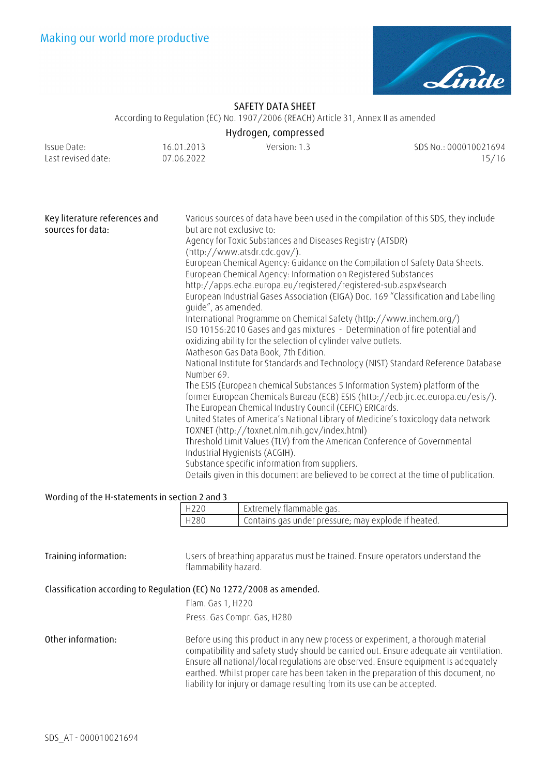

According to Regulation (EC) No. 1907/2006 (REACH) Article 31, Annex II as amended

## **Hydrogen, compressed**

| Issue Date:        | 16.01.2013 | Version: 1.3 | SDS No.: 000010021694 |
|--------------------|------------|--------------|-----------------------|
| Last revised date: | 07.06.2022 |              | 15/16                 |

| Key literature references and<br>sources for data: | Various sources of data have been used in the compilation of this SDS, they include<br>but are not exclusive to:                              |
|----------------------------------------------------|-----------------------------------------------------------------------------------------------------------------------------------------------|
|                                                    | Agency for Toxic Substances and Diseases Registry (ATSDR)                                                                                     |
|                                                    | (http://www.atsdr.cdc.gov/).                                                                                                                  |
|                                                    | European Chemical Agency: Guidance on the Compilation of Safety Data Sheets.                                                                  |
|                                                    | European Chemical Agency: Information on Registered Substances                                                                                |
|                                                    | http://apps.echa.europa.eu/registered/registered-sub.aspx#search                                                                              |
|                                                    | European Industrial Gases Association (EIGA) Doc. 169 "Classification and Labelling<br>quide", as amended.                                    |
|                                                    | International Programme on Chemical Safety (http://www.inchem.org/)                                                                           |
|                                                    | ISO 10156:2010 Gases and gas mixtures - Determination of fire potential and<br>oxidizing ability for the selection of cylinder valve outlets. |
|                                                    | Matheson Gas Data Book, 7th Edition.                                                                                                          |
|                                                    | National Institute for Standards and Technology (NIST) Standard Reference Database<br>Number 69.                                              |
|                                                    | The ESIS (European chemical Substances 5 Information System) platform of the                                                                  |
|                                                    | former European Chemicals Bureau (ECB) ESIS (http://ecb.jrc.ec.europa.eu/esis/).<br>The European Chemical Industry Council (CEFIC) ERICards.  |
|                                                    | United States of America's National Library of Medicine's toxicology data network<br>TOXNET (http://toxnet.nlm.nih.gov/index.html)            |
|                                                    | Threshold Limit Values (TLV) from the American Conference of Governmental<br>Industrial Hygienists (ACGIH).                                   |
|                                                    | Substance specific information from suppliers.                                                                                                |
|                                                    | Details given in this document are believed to be correct at the time of publication.                                                         |

#### **Wording of the H-statements in section 2 and 3**

| H220 | . Extremely flammable gas.                          |
|------|-----------------------------------------------------|
| H280 | Contains gas under pressure; may explode if heated. |
|      |                                                     |

| Training information: | Users of breathing apparatus must be trained. Ensure operators understand the |
|-----------------------|-------------------------------------------------------------------------------|
|                       | flammability hazard.                                                          |

### **Classification according to Regulation (EC) No 1272/2008 as amended.**

| Flam. Gas 1, H220           |  |  |  |
|-----------------------------|--|--|--|
| Press. Gas Compr. Gas, H280 |  |  |  |

**Other information:** Before using this product in any new process or experiment, a thorough material compatibility and safety study should be carried out. Ensure adequate air ventilation. Ensure all national/local regulations are observed. Ensure equipment is adequately earthed. Whilst proper care has been taken in the preparation of this document, no liability for injury or damage resulting from its use can be accepted.